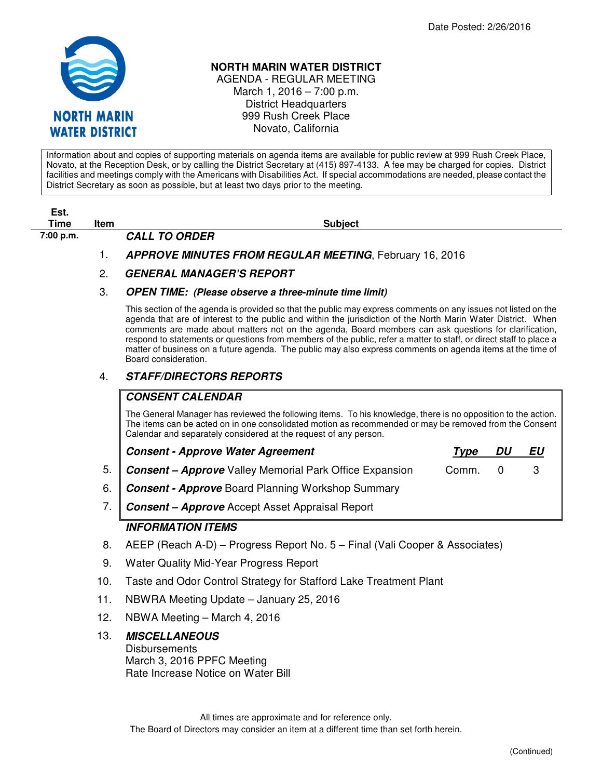

## **NORTH MARIN WATER DISTRICT**

AGENDA - REGULAR MEETING March 1, 2016 – 7:00 p.m. District Headquarters 999 Rush Creek Place Novato, California

Information about and copies of supporting materials on agenda items are available for public review at 999 Rush Creek Place, Novato, at the Reception Desk, or by calling the District Secretary at (415) 897-4133. A fee may be charged for copies. District facilities and meetings comply with the Americans with Disabilities Act. If special accommodations are needed, please contact the District Secretary as soon as possible, but at least two days prior to the meeting.

| Est.<br><b>Time</b> |      |                                                                                                                                                                                                                                                                                                                                                                                                                                                                                                                                                                                                      |
|---------------------|------|------------------------------------------------------------------------------------------------------------------------------------------------------------------------------------------------------------------------------------------------------------------------------------------------------------------------------------------------------------------------------------------------------------------------------------------------------------------------------------------------------------------------------------------------------------------------------------------------------|
| 7:00 p.m.           | Item | <b>Subject</b><br><b>CALL TO ORDER</b>                                                                                                                                                                                                                                                                                                                                                                                                                                                                                                                                                               |
|                     | 1.   | <b>APPROVE MINUTES FROM REGULAR MEETING, February 16, 2016</b>                                                                                                                                                                                                                                                                                                                                                                                                                                                                                                                                       |
|                     | 2.   | <b>GENERAL MANAGER'S REPORT</b>                                                                                                                                                                                                                                                                                                                                                                                                                                                                                                                                                                      |
|                     | 3.   | <b>OPEN TIME:</b> (Please observe a three-minute time limit)                                                                                                                                                                                                                                                                                                                                                                                                                                                                                                                                         |
|                     |      | This section of the agenda is provided so that the public may express comments on any issues not listed on the<br>agenda that are of interest to the public and within the jurisdiction of the North Marin Water District. When<br>comments are made about matters not on the agenda, Board members can ask questions for clarification,<br>respond to statements or questions from members of the public, refer a matter to staff, or direct staff to place a<br>matter of business on a future agenda. The public may also express comments on agenda items at the time of<br>Board consideration. |
|                     | 4.   | <b>STAFF/DIRECTORS REPORTS</b>                                                                                                                                                                                                                                                                                                                                                                                                                                                                                                                                                                       |
|                     |      | <b>CONSENT CALENDAR</b>                                                                                                                                                                                                                                                                                                                                                                                                                                                                                                                                                                              |
|                     |      | The General Manager has reviewed the following items. To his knowledge, there is no opposition to the action.<br>The items can be acted on in one consolidated motion as recommended or may be removed from the Consent<br>Calendar and separately considered at the request of any person.                                                                                                                                                                                                                                                                                                          |
|                     |      | <b>Consent - Approve Water Agreement</b><br><b>DU</b><br><u>EU</u><br><u>Type</u>                                                                                                                                                                                                                                                                                                                                                                                                                                                                                                                    |
|                     | 5.   | 3<br><b>Consent - Approve</b> Valley Memorial Park Office Expansion<br>Comm.<br>0                                                                                                                                                                                                                                                                                                                                                                                                                                                                                                                    |
|                     | 6.   | <b>Consent - Approve Board Planning Workshop Summary</b>                                                                                                                                                                                                                                                                                                                                                                                                                                                                                                                                             |
|                     | 7.   | <b>Consent - Approve</b> Accept Asset Appraisal Report                                                                                                                                                                                                                                                                                                                                                                                                                                                                                                                                               |
|                     |      | <b>INFORMATION ITEMS</b>                                                                                                                                                                                                                                                                                                                                                                                                                                                                                                                                                                             |
|                     | 8.   | AEEP (Reach A-D) – Progress Report No. 5 – Final (Vali Cooper & Associates)                                                                                                                                                                                                                                                                                                                                                                                                                                                                                                                          |
|                     | 9.   | Water Quality Mid-Year Progress Report                                                                                                                                                                                                                                                                                                                                                                                                                                                                                                                                                               |
|                     | 10.  | Taste and Odor Control Strategy for Stafford Lake Treatment Plant                                                                                                                                                                                                                                                                                                                                                                                                                                                                                                                                    |
|                     | 11.  | NBWRA Meeting Update - January 25, 2016                                                                                                                                                                                                                                                                                                                                                                                                                                                                                                                                                              |
|                     | 12.  | NBWA Meeting - March 4, 2016                                                                                                                                                                                                                                                                                                                                                                                                                                                                                                                                                                         |
|                     | 13.  | <b>MISCELLANEOUS</b><br><b>Disbursements</b><br>March 3, 2016 PPFC Meeting                                                                                                                                                                                                                                                                                                                                                                                                                                                                                                                           |

Rate Increase Notice on Water Bill